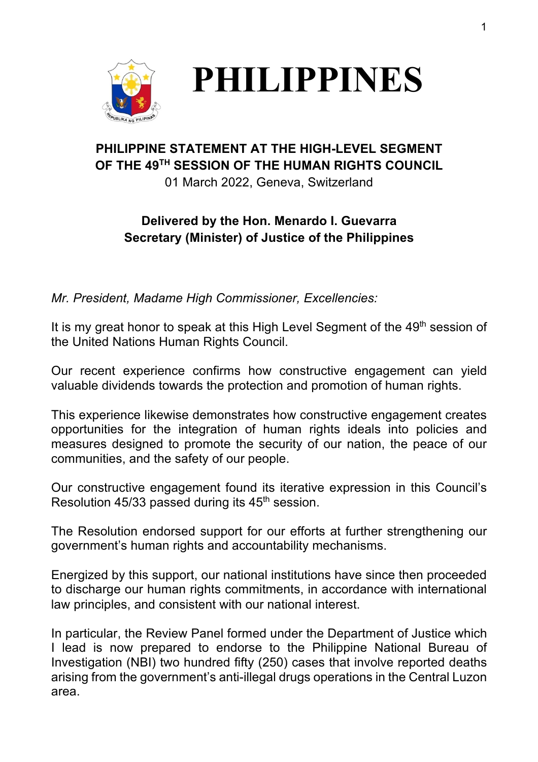



## **PHILIPPINE STATEMENT AT THE HIGH-LEVEL SEGMENT OF THE 49TH SESSION OF THE HUMAN RIGHTS COUNCIL**

01 March 2022, Geneva, Switzerland

## **Delivered by the Hon. Menardo I. Guevarra Secretary (Minister) of Justice of the Philippines**

*Mr. President, Madame High Commissioner, Excellencies:*

It is my great honor to speak at this High Level Segment of the 49<sup>th</sup> session of the United Nations Human Rights Council.

Our recent experience confirms how constructive engagement can yield valuable dividends towards the protection and promotion of human rights.

This experience likewise demonstrates how constructive engagement creates opportunities for the integration of human rights ideals into policies and measures designed to promote the security of our nation, the peace of our communities, and the safety of our people.

Our constructive engagement found its iterative expression in this Council's Resolution 45/33 passed during its  $45<sup>th</sup>$  session.

The Resolution endorsed support for our efforts at further strengthening our government's human rights and accountability mechanisms.

Energized by this support, our national institutions have since then proceeded to discharge our human rights commitments, in accordance with international law principles, and consistent with our national interest.

In particular, the Review Panel formed under the Department of Justice which I lead is now prepared to endorse to the Philippine National Bureau of Investigation (NBI) two hundred fifty (250) cases that involve reported deaths arising from the government's anti-illegal drugs operations in the Central Luzon area.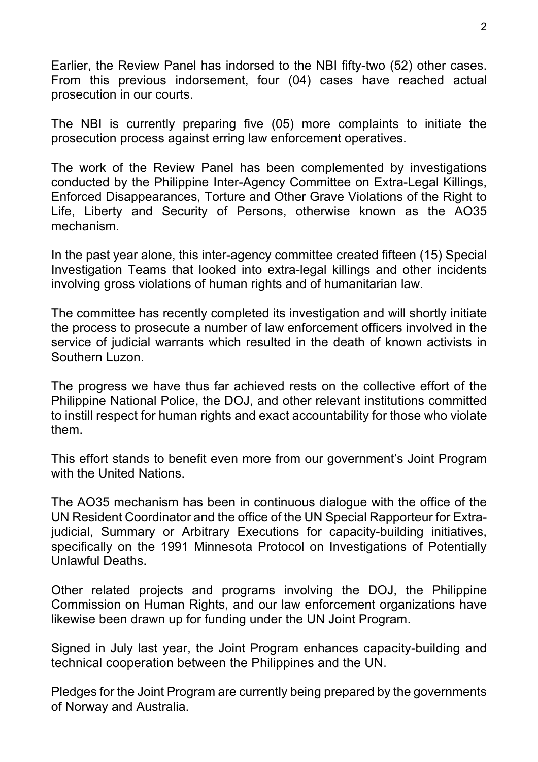Earlier, the Review Panel has indorsed to the NBI fifty-two (52) other cases. From this previous indorsement, four (04) cases have reached actual prosecution in our courts.

The NBI is currently preparing five (05) more complaints to initiate the prosecution process against erring law enforcement operatives.

The work of the Review Panel has been complemented by investigations conducted by the Philippine Inter-Agency Committee on Extra-Legal Killings, Enforced Disappearances, Torture and Other Grave Violations of the Right to Life, Liberty and Security of Persons, otherwise known as the AO35 mechanism.

In the past year alone, this inter-agency committee created fifteen (15) Special Investigation Teams that looked into extra-legal killings and other incidents involving gross violations of human rights and of humanitarian law.

The committee has recently completed its investigation and will shortly initiate the process to prosecute a number of law enforcement officers involved in the service of judicial warrants which resulted in the death of known activists in Southern Luzon.

The progress we have thus far achieved rests on the collective effort of the Philippine National Police, the DOJ, and other relevant institutions committed to instill respect for human rights and exact accountability for those who violate them.

This effort stands to benefit even more from our government's Joint Program with the United Nations.

The AO35 mechanism has been in continuous dialogue with the office of the UN Resident Coordinator and the office of the UN Special Rapporteur for Extrajudicial, Summary or Arbitrary Executions for capacity-building initiatives, specifically on the 1991 Minnesota Protocol on Investigations of Potentially Unlawful Deaths.

Other related projects and programs involving the DOJ, the Philippine Commission on Human Rights, and our law enforcement organizations have likewise been drawn up for funding under the UN Joint Program.

Signed in July last year, the Joint Program enhances capacity-building and technical cooperation between the Philippines and the UN.

Pledges for the Joint Program are currently being prepared by the governments of Norway and Australia.